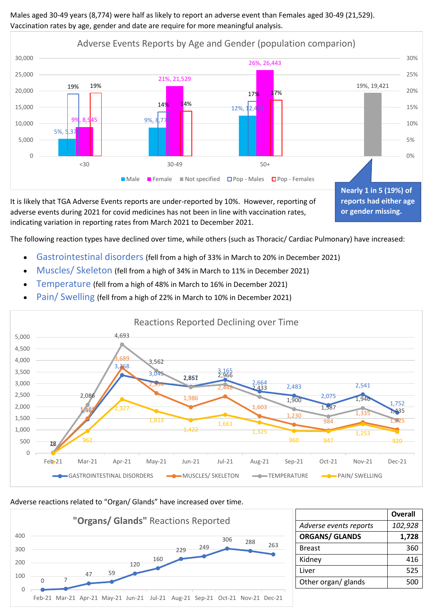Males aged 30-49 years (8,774) were half as likely to report an adverse event than Females aged 30-49 (21,529). Vaccination rates by age, gender and date are require for more meaningful analysis.



It is likely that TGA Adverse Events reports are under-reported by 10%. However, reporting of adverse events during 2021 for covid medicines has not been in line with vaccination rates, indicating variation in reporting rates from March 2021 to December 2021.

The following reaction types have declined over time, while others (such as Thoracic/ Cardiac Pulmonary) have increased:

- Gastrointestinal disorders (fell from a high of 33% in March to 20% in December 2021)
- Muscles/ Skeleton (fell from a high of 34% in March to 11% in December 2021)
- Temperature (fell from a high of 48% in March to 16% in December 2021)
- Pain/ Swelling (fell from a high of 22% in March to 10% in December 2021)



## Adverse reactions related to "Organ/ Glands" have increased over time.



|                        | <b>Overall</b> |
|------------------------|----------------|
| Adverse events reports | 102,928        |
| <b>ORGANS/ GLANDS</b>  | 1,728          |
| <b>Breast</b>          | 360            |
| Kidney                 | 416            |
| Liver                  | 525            |
| Other organ/ glands    | 500            |

**or gender missing.**